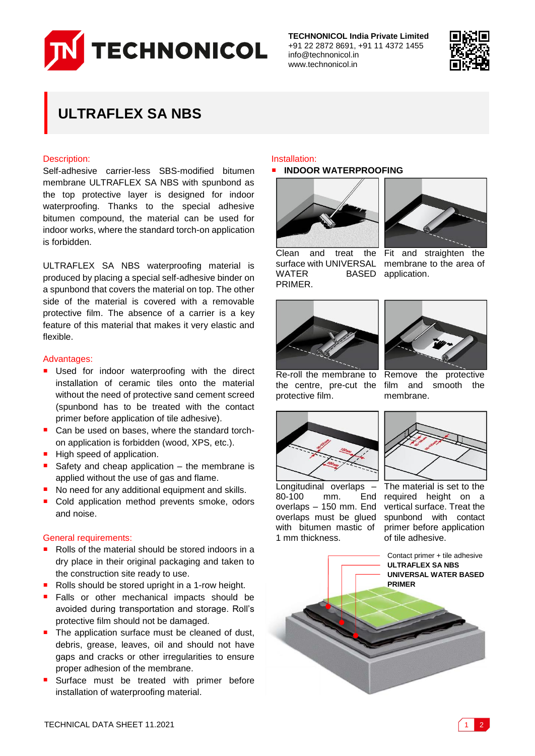

**TECHNONICOL India Private Limited** +91 22 2872 8691, +91 11 4372 1455 info@technonicol.in www.technonicol.in



# **ULTRAFLEX SA NBS**

# Description:

Self-adhesive carrier-less SBS-modified bitumen membrane ULTRAFLEX SA NBS with spunbond as the top protective layer is designed for indoor waterproofing. Thanks to the special adhesive bitumen compound, the material can be used for indoor works, where the standard torch-on application is forbidden.

ULTRAFLEX SA NBS waterproofing material is produced by placing a special self-adhesive binder on a spunbond that covers the material on top. The other side of the material is covered with a removable protective film. The absence of a carrier is a key feature of this material that makes it very elastic and flexible.

# Advantages:

- **Used for indoor waterproofing with the direct** installation of ceramic tiles onto the material without the need of protective sand cement screed (spunbond has to be treated with the contact primer before application of tile adhesive).
- Can be used on bases, where the standard torchon application is forbidden (wood, XPS, etc.).
- High speed of application.
- Safety and cheap application  $-$  the membrane is applied without the use of gas and flame.
- No need for any additional equipment and skills.
- Cold application method prevents smoke, odors and noise.

# General requirements:

- Rolls of the material should be stored indoors in a dry place in their original packaging and taken to the construction site ready to use.
- Rolls should be stored upright in a 1-row height.
- Falls or other mechanical impacts should be avoided during transportation and storage. Roll's protective film should not be damaged.
- The application surface must be cleaned of dust, debris, grease, leaves, oil and should not have gaps and cracks or other irregularities to ensure proper adhesion of the membrane.
- Surface must be treated with primer before installation of waterproofing material.

# Installation:

### **INDOOR WATERPROOFING**



Clean and treat the surface with UNIVERSAL membrane to the area of WATER BASED application. PRIMER.



Fit and straighten the





film and smooth the

membrane.

Re-roll the membrane to the centre, pre-cut the protective film.



Longitudinal overlaps – 80-100 mm. End overlaps – 150 mm. End overlaps must be glued with bitumen mastic of 1 mm thickness.



The material is set to the required height on a vertical surface. Treat the spunbond with contact primer before application of tile adhesive.

Contact primer + tile adhesive **ULTRAFLEX SA NBS UNIVERSAL WATER BASED PRIMER**